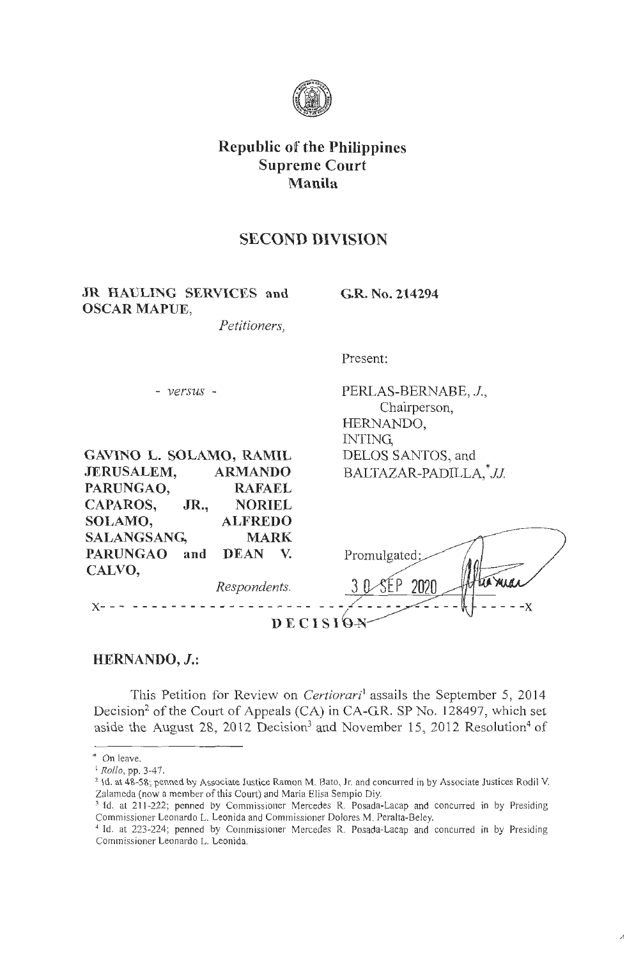

# **Republic of the Philippines Supreme Court Manila**

# **SECOND DIVISION**

**JR HAULING SERVICES and OSCAR MAPUE,** 

**G.R. No. 214294** 

*Petitioners,* 

Present:

**GAVINO L. SOLAMO, RAMIL JERUSALEM, ARMANDO PARUNGAO, RAFAEL CAPAROS, JR., NORIEL SOLAMO, ALFREDO CALVO,** 

- *versus* - PERLAS-BERNABE, *J.,*  Chairperson, HERNANDO, INTING, DELOS SANTOS, and BALTAZAR-PADILLA, JJ.

| SALANGSANG,     |     | <b>MARK</b>  |                 |          |
|-----------------|-----|--------------|-----------------|----------|
| <b>PARUNGAO</b> | and | <b>DEAN</b>  | Promulgated:    |          |
| CALVO,          |     | Respondents. |                 | tio midi |
|                 |     |              | <b>DECISION</b> |          |

## **HERNANDO, J.:**

This Petition for Review on *Certiorari*<sup>1</sup>assails the September 5, 2014 Decision<sup>2</sup> of the Court of Appeals (CA) in CA-G.R. SP No. 128497, which set aside the August 28, 2012 Decision<sup>3</sup> and November 15, 2012 Resolution<sup>4</sup> of

<sup>\*</sup> On leave.

<sup>&</sup>lt;sup>1</sup> Rollo, pp. 3-47.<br><sup>2</sup> Id. at 48-58; penned by Associate Justice Ramon M. Bato, Jr. and concurred in by Associate Justices Rodil V. Zalameda (now a member of this Court) and Maria Elisa Sempio Diy.

<sup>&</sup>lt;sup>3</sup> Id. at 211-222; penned by Commissioner Mercedes R. Posada-Lacap and concurred in by Presiding Commissioner Leonardo L. Leonida and Commissioner Dolores M. Peralta-Beley.

<sup>&</sup>lt;sup>4</sup> Id. at 223-224; penned by Commissioner Mercedes R. Posada-Lacap and concurred in by Presiding Commissioner Leonardo L. Leonida.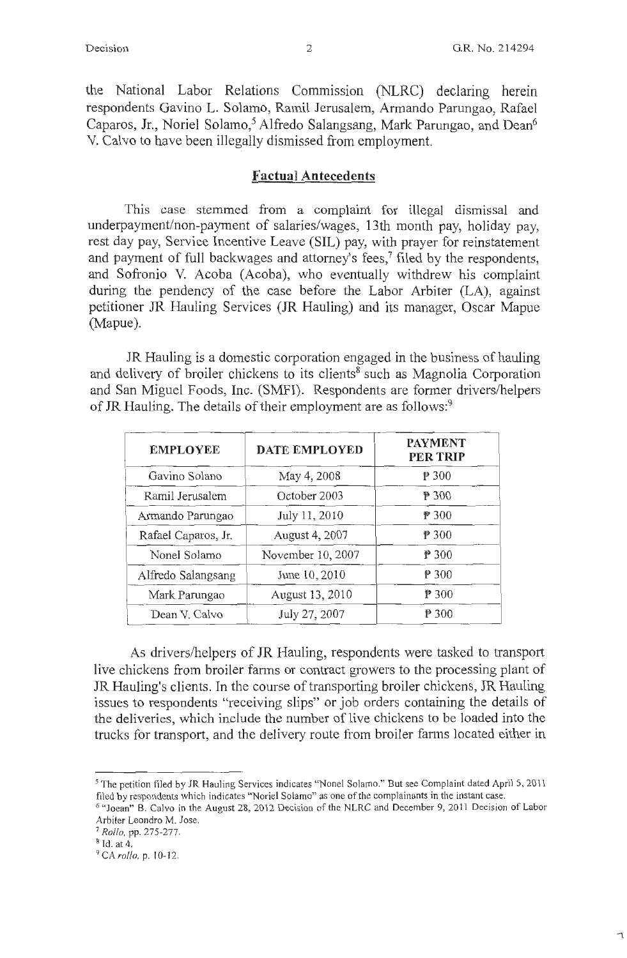the National Labor Relations Commission (NLRC) declaring herein respondents Gavino L. Solamo, Ramil Jerusalem, Armando Parungao, Rafael Caparos, Jr., Noriel Solamo,<sup>5</sup> Alfredo Salangsang, Mark Parungao, and Dean<sup>6</sup> V. Calvo to have been illegally dismissed from employment.

### **Factual Antecedents**

This case stemmed from a complaint for illegal dismissal and underpayment/non-payment of salaries/wages, 13th month pay, holiday pay, rest day pay, Service Incentive Leave (SIL) pay, with prayer for reinstatement and payment of full backwages and attorney's fees,<sup>7</sup> filed by the respondents, and Sofronio V. Acoba (Acoba), who eventually withdrew his complaint during the pendency of the case before the Labor Arbiter (LA), against petitioner JR Hauling Services (JR Hauling) and its manager, Oscar Mapue (Mapue).

JR Hauling is a domestic corporation engaged in the business of hauling and delivery of broiler chickens to its clients<sup>8</sup> such as Magnolia Corporation and San Miguel Foods, Inc. (SMFI). Respondents are former drivers/helpers of JR Hauling. The details of their employment are as follows:<sup>9</sup>

| <b>EMPLOYEE</b>     | <b>DATE EMPLOYED</b> | <b>PAYMENT</b><br><b>PER TRIP</b> |
|---------------------|----------------------|-----------------------------------|
| Gavino Solano       | May 4, 2008          | ₱ 300                             |
| Ramil Jerusalem     | October 2003         | P 300                             |
| Armando Parungao    | July 11, 2010        | P 300                             |
| Rafael Caparos, Jr. | August 4, 2007       | P 300                             |
| Nonel Solamo        | November 10, 2007    | P 300                             |
| Alfredo Salangsang  | June 10, 2010        | ₱ 300                             |
| Mark Parungao       | August 13, 2010      | P300                              |
| Dean V. Calvo       | July 27, 2007        | P 300                             |

As drivers/helpers of JR Hauling, respondents were tasked to transport live chickens from broiler farms or contract growers to the processing plant of JR Hauling's clients. In the course of transporting broiler chickens, JR Hauling issues to respondents "receiving slips" or job orders containing the details of the deliveries, which include the number of live chickens to be loaded into the trucks for transport, and the delivery route from broiler farms located either in

<sup>&</sup>lt;sup>5</sup> The petition filed by JR Hauling Services indicates "Nonel Solamo." But see Complaint dated April 5, 2011 filed by respondents which indicates "Noriel Solamo" as one of the complainants in the instant case.

<sup>&</sup>lt;sup>6</sup> "Joean" B. Calvo in the August 28, 2012 Decision of the NLRC and December 9, 2011 Decision of Labor Arbiter Leondro M. Jose.

<sup>7</sup>*Rollo,* pp. 275-277.

<sup>8</sup> ld. at 4.

<sup>9</sup> *CArollo.* p. 10-12.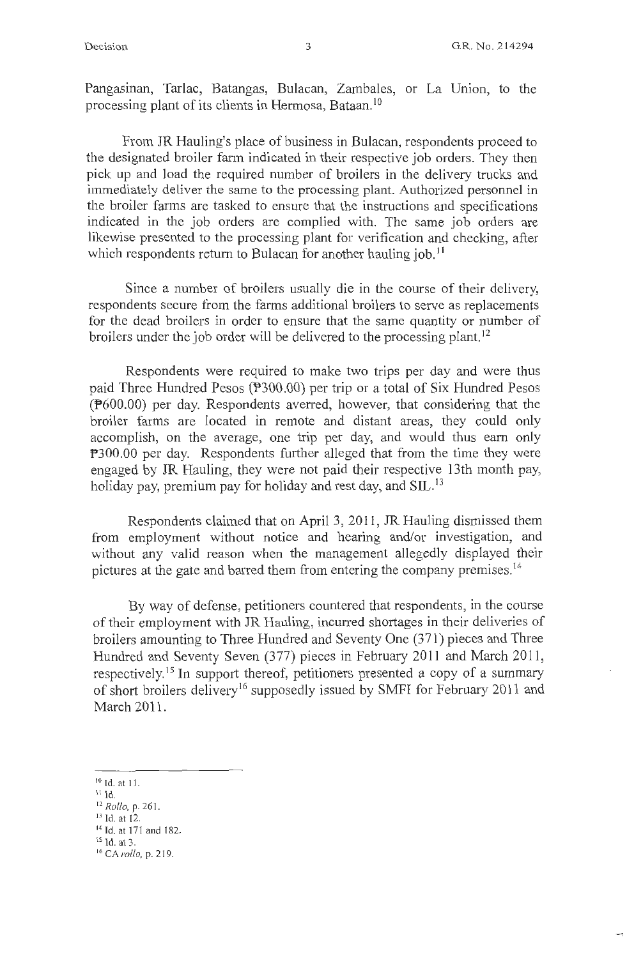Pangasinan, Tarlac, Batangas, Bulacan, Zambales, or La Union, to the processing plant of its clients in Hermosa, Bataan. <sup>10</sup>

From JR Hauling's place of business in Bulacan, respondents proceed to the designated broiler farm indicated in their respective job orders. They then pick up and load the required number of broilers in the delivery trucks and immediately deliver the same to the processing plant. Authorized personnel in the broiler farms are tasked to ensure that the instructions and specifications indicated in the job orders are complied with. The same job orders are likewise presented to the processing plant for verification and checking, after which respondents return to Bulacan for another hauling job.<sup>11</sup>

Since a number of broilers usually die in the course of their delivery, respondents secure from the farms additional broilers to serve as replacements for the dead broilers in order to ensure that the same quantity or number of broilers under the job order will be delivered to the processing plant.<sup>12</sup>

Respondents were required to make two trips per day and were thus paid Three Hundred Pesos (P300.00) per trip or a total of Six Hundred Pesos (P600.00) per day. Respondents averred, however, that considering that the broiler farms are located in remote and distant areas, they could only accomplish, on the average, one trip per day, and would thus earn only P300.00 per day. Respondents further alleged that from the time they were engaged by JR Hauling, they were not paid their respective 13th month pay, holiday pay, premium pay for holiday and rest day, and SIL.<sup>13</sup>

Respondents claimed that on April 3, 2011 , JR Hauling dismissed them from employment without notice and hearing and/or investigation, and without any valid reason when the management allegedly displayed their pictures at the gate and barred them from entering the company premises. <sup>14</sup>

By way of defense, petitioners countered that respondents, in the course of their employment with JR Hauling, incurred shortages in their deliveries of broilers amounting to Three Hundred and Seventy One (371) pieces and Three Hundred and Seventy Seven (377) pieces in February 2011 and March 2011, respectively.<sup>15</sup> In support thereof, petitioners presented a copy of a summary of short broilers delivery<sup>16</sup> supposedly issued by SMFI for February 2011 and March 2011.

- 11 Id.
- <sup>12</sup>*Rollo,* p. 26 1. 13 Id. at 12.

<sup>&</sup>lt;sup>10</sup> Id. at 11.

<sup>14</sup> Id. at 171 and 182.

<sup>15</sup> Id. at 3.

<sup>16</sup> CA *rollo,* p. 219.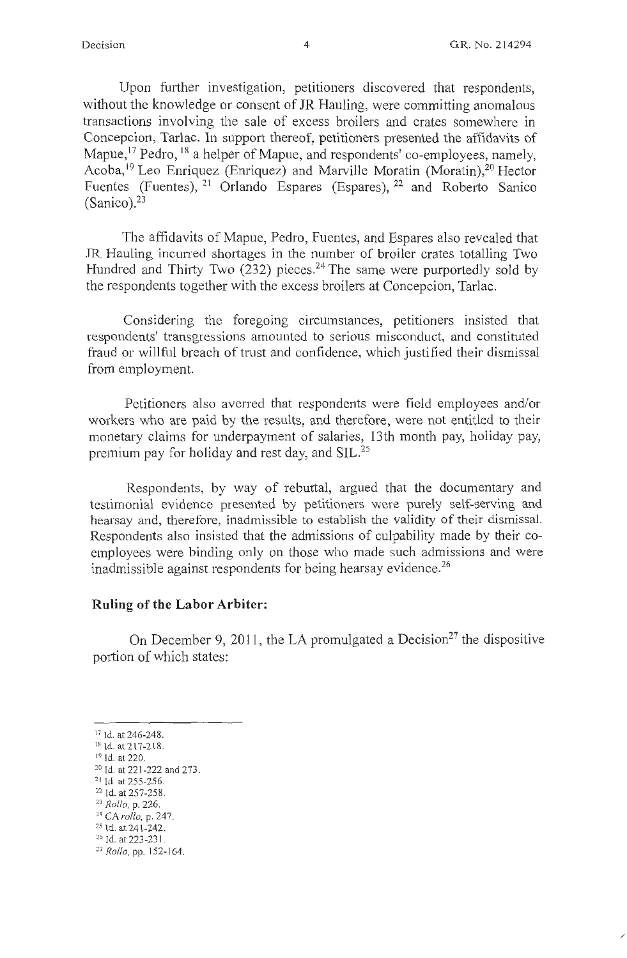/

Upon further investigation, petitioners discovered that respondents, without the knowledge or consent of JR Hauling, were committing anomalous transactions involving the sale of excess broilers and crates somewhere in Concepcion, Tarlac. In support thereof, petitioners presented the affidavits of Mapue,<sup>17</sup> Pedro, <sup>18</sup> a helper of Mapue, and respondents' co-employees, namely, Acoba,<sup>19</sup> Leo Enriquez (Enriquez) and Marville Moratin (Moratin),<sup>20</sup> Hector Fuentes (Fuentes), <sup>21</sup> Orlando Espares (Espares), <sup>22</sup> and Roberto Sanico  $(Sanico).<sup>23</sup>$ 

The affidavits of Mapue, Pedro, Fuentes, and Espares also revealed that JR Hauling incurred shortages in the number of broiler crates totalling Two Hundred and Thirty Two (232) pieces.<sup>24</sup> The same were purportedly sold by the respondents together with the excess broilers at Concepcion, Tarlac.

Considering the foregoing circumstances, petitioners insisted that respondents' transgressions amounted to serious misconduct, and constituted fraud or willful breach of trust and confidence, which justified their dismissal from employment.

Petitioners also averred that respondents were field employees and/or workers who are paid by the results, and therefore, were not entitled to their monetary claims for underpayment of salaries, 13th month pay, holiday pay, premium pay for holiday and rest day, and SIL.<sup>25</sup>

Respondents, by way of rebuttal, argued that the documentary and testimonial evidence presented by petitioners were purely self-serving and hearsay and, therefore, inadmissible to establish the validity of their dismissal. Respondents also insisted that the admissions of culpability made by their coemployees were binding only on those who made such admissions and were inadmissible against respondents for being hearsay evidence.<sup>26</sup>

#### **Ruling of the Labor Arbiter:**

On December 9, 2011, the LA promulgated a Decision<sup>27</sup> the dispositive portion of which states:

- 
- 
- <sup>24</sup> CA *rollo*, p. 247.<br><sup>25</sup> Id. at 241-242.<br><sup>26</sup> Id. at 223-231.

<sup>&</sup>lt;sup>17</sup> Id. at 246-248.

<sup>&</sup>lt;sup>18</sup> Id. at 217-218. <sup>19</sup> Id. at 220.

<sup>20</sup> Id. at 221 -222 and 273. 2 1 Id. at 255-256. 22 Id. at 257-258. 23 *Rollo,* p. 226.

<sup>27</sup>*Rollo,* pp. 152- 164.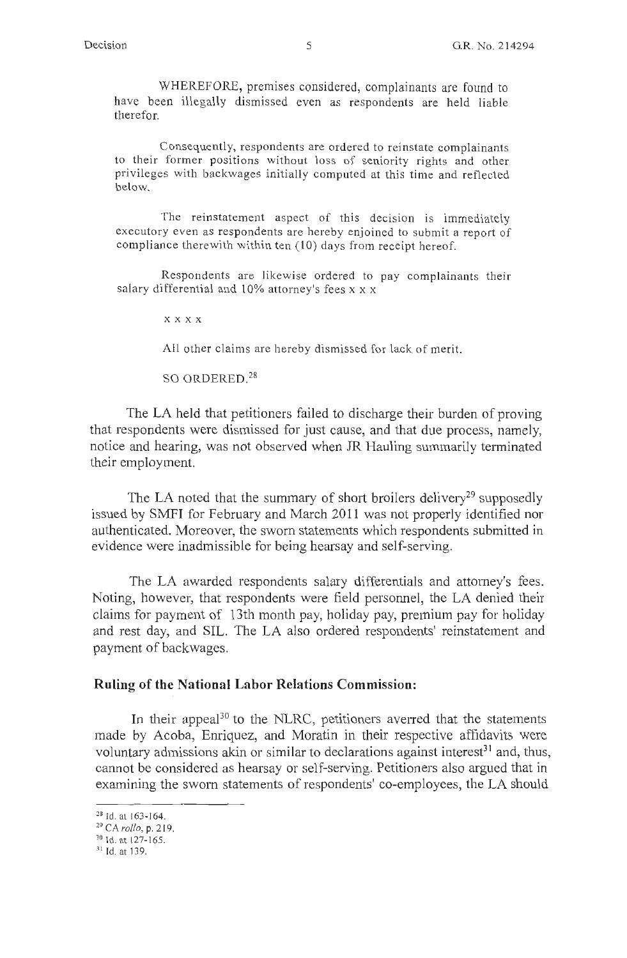WHEREFORE, premises considered, complainants are found to have been illegally dismissed even as respondents are held liable therefor.

Consequently, respondents are ordered to reinstate complainants to their former positions without loss of seniority rights and other privileges with backwages initially computed at this time and reflected below.

The reinstatement aspect of this decision is immediately executory even as respondents are hereby enjoined to submit a report of compliance therewith within ten  $(10)$  days from receipt hereof.

Respondents are likewise ordered to pay complainants their salary differential and 10% attorney's fees x x x

**xxxx** 

All other claims are hereby dismissed for lack of merit.

SO ORDERED. <sup>28</sup>

The LA held that petitioners failed to discharge their burden of proving that respondents were dismissed for just cause, and that due process, namely, notice and hearing, was not observed when JR Hauling summarily terminated their employment.

The LA noted that the summary of short broilers delivery<sup>29</sup> supposedly issued by SMFI for February and March 2011 was not properly identified nor authenticated. Moreover, the sworn statements which respondents submitted in evidence were inadmissible for being hearsay and self-serving.

The LA awarded respondents salary differentials and attorney's fees. Noting, however, that respondents were field personnel, the LA denied their claims for payment of 13th month pay, holiday pay, premium pay for holiday and rest day, and SIL. The LA also ordered respondents' reinstatement and payment of backwages.

### **Ruling of the National Labor Relations Commission:**

In their appeal<sup>30</sup> to the NLRC, petitioners averred that the statements made by Acoba, Enriquez, and Moratin in their respective affidavits were voluntary admissions akin or similar to declarations against interest<sup>31</sup> and, thus, cannot be considered as hearsay or self-serving. Petitioners also argued that in examining the sworn statements of respondents' co-employees, the LA should

<sup>&</sup>lt;sup>28</sup> Id. at 163-164.

<sup>&</sup>lt;sup>29</sup> CA *rollo*, p. 219.<br><sup>30</sup> Id. at 127-165.<br><sup>31</sup> Id. at 139.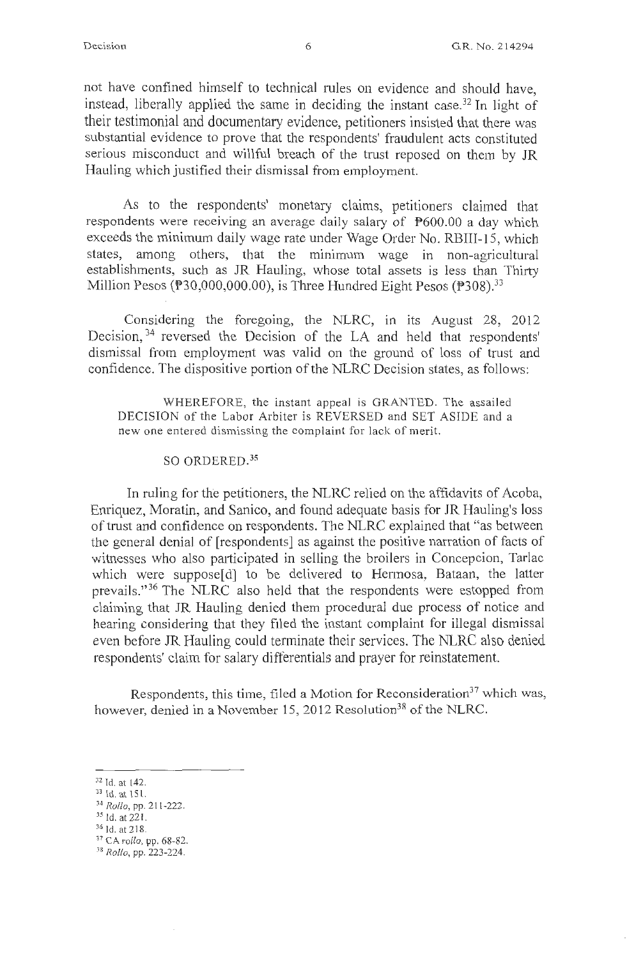not have confined himself to technical rules on evidence and should have, instead, liberally applied the same in deciding the instant case.<sup>32</sup> In light of their testimonial and documentary evidence, petitioners insisted that there was substantial evidence to prove that the respondents' fraudulent acts constituted serious misconduct and willful breach of the trust reposed on them by JR Hauling which justified their dismissal from employment.

As to the respondents' monetary claims, petitioners claimed that respondents were receiving an average daily salary of P600.00 a day which exceeds the minimum daily wage rate under Wage Order No. RBIII-15, which states, among others, that the minimum wage in non-agricultural establishments, such as JR Hauling, whose total assets is less than Thirty Million Pesos ( $\text{\textsterling}30,000,000,000$ ), is Three Hundred Eight Pesos ( $\text{\textsterling}308$ ).<sup>33</sup>

Considering the foregoing, the NLRC, in its August 28, 2012 Decision, 34 reversed the Decision of the LA and held that respondents' dismissal from employment was valid on the ground of loss of trust and confidence. The dispositive portion of the NLRC Decision states, as follows:

WHEREFORE, the instant appeal is GRANTED. The assailed DECISION of the Labor Arbiter is REVERSED and SET ASIDE and a new one entered dismissing the complaint for lack of merit.

#### SO ORDERED.<sup>35</sup>

In ruling for the petitioners, the NLRC relied on the affidavits of Acoba, Enriquez, Moratin, and Sanico, and found adequate basis for JR Hauling's loss of trust and confidence on respondents. The NLRC explained that "as between the general denial of [respondents] as against the positive narration of facts of witnesses who also participated in selling the broilers in Concepcion, Tarlac which were suppose[d] to be delivered to Hermosa, Bataan, the latter prevails." 36 The NLRC also held that the respondents were estopped from claiming that JR Hauling denied them procedural due process of notice and hearing considering that they filed the instant complaint for illegal dismissal even before JR Hauling could terminate their services. The NLRC also denied respondents' claim for salary differentials and prayer for reinstatement.

Respondents, this time, filed a Motion for Reconsideration<sup>37</sup> which was, however, denied in a November 15, 2012 Resolution<sup>38</sup> of the NLRC.

<sup>32</sup> Id. at 142. 33 Id. at 15 I. 34 *Rollo,* pp. 2 I 1-222. 35 Id. at 221. 36 \d.at218. 37 CA *rol/o,* pp. 68-82. 38 *Rollo,* pp. 223-224.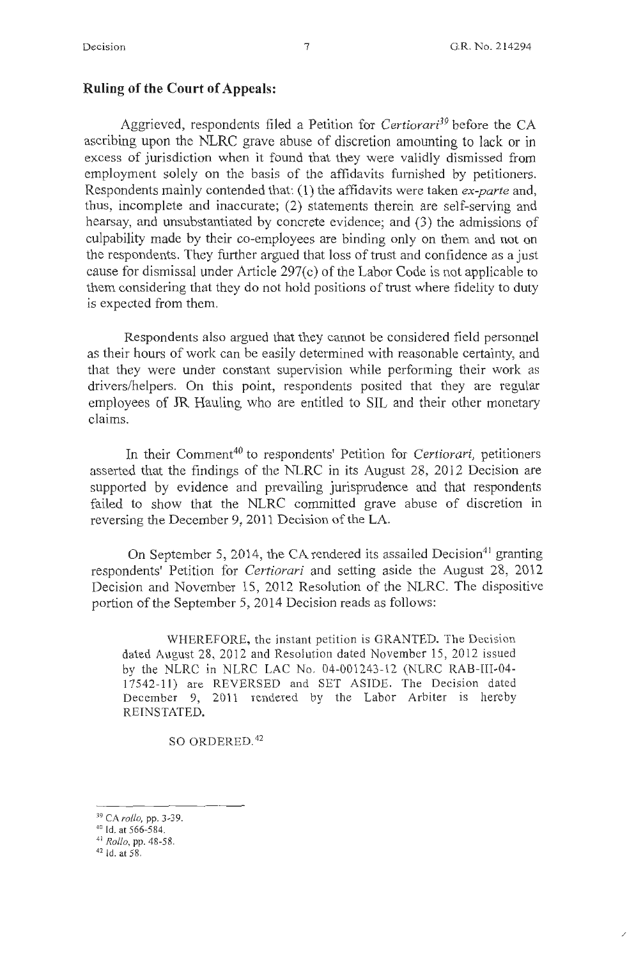/

### **Ruling of the Court of Appeals:**

Aggrieved, respondents filed a Petition for *Certiorari39* before the CA ascribing upon the NLRC grave abuse of discretion amounting to lack or in excess of jurisdiction when it found that they were validly dismissed from employment solely on the basis of the affidavits furnished by petitioners. Respondents mainly contended that: (l) the affidavits were taken *ex-parte* and, thus, incomplete and inaccurate; (2) statements therein are self-serving and hearsay, and unsubstantiated by concrete evidence; and (3) the admissions of culpability made by their co-employees are binding only on them and not on the respondents. They further argued that loss of trust and confidence as a just cause for dismissal under Article 297(c) of the Labor Code is not applicable to them considering that they do not hold positions of trust where fidelity to duty is expected from them.

Respondents also argued that they cannot be considered field personnel as their hours of work can be easily determined with reasonable certainty, and that they were under constant supervision while performing their work as drivers/helpers. On this point, respondents posited that they are regular employees of JR Hauling who are entitled to SIL and their other monetary claims.

In their Comment<sup>40</sup> to respondents' Petition for *Certiorari*, petitioners asserted that the findings of the NLRC in its August 28, 2012 Decision are supported by evidence and prevailing jurisprudence and that respondents failed to show that the NLRC committed grave abuse of discretion in reversing the December 9, 2011 Decision of the LA.

On September 5, 2014, the CA rendered its assailed Decision<sup>41</sup> granting respondents' Petition for *Certiorari* and setting aside the August 28, 2012 Decision and November 15, 2012 Resolution of the NLRC. The dispositive portion of the September 5, 2014 Decision reads as follows:

WHEREFORE, the instant petition is GRANTED. The Decision dated August 28, 2012 and Resolution dated November 15, 2012 issued by the NLRC in NLRC LAC No. 04-001243-12 (NLRC RAB-III-04-17542-11) are REVERSED and SET ASIDE. The Decision dated December 9, 2011 rendered by the Labor Arbiter is hereby REINSTATED.

SO ORDERED. 42

<sup>39</sup> CA *rollo,* pp. 3-39. 40 Id. at 566-584.

<sup>41</sup>*Rollo,* pp. 48-58. 42 Id. at 58.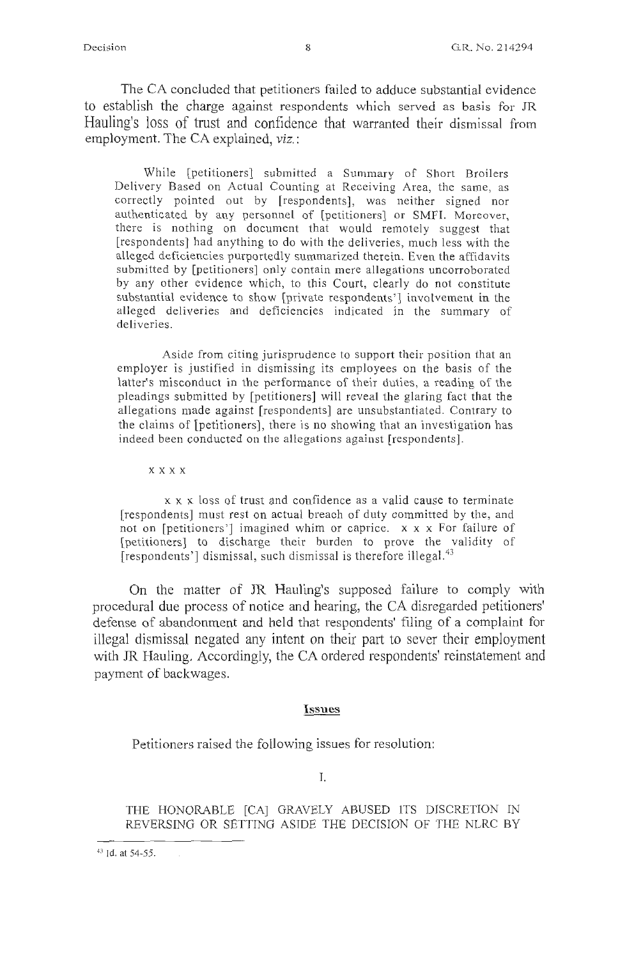The CA concluded that petitioners failed to adduce substantial evidence to establish the charge against respondents which served as basis for JR Hauling's loss of trust and confidence that warranted their dismissal from employment. The CA explained, viz.:

While [petitioners] submitted a Summary of Short Broilers Delivery Based on Actual Counting at Receiving Area, the same, as correctly pointed out by [respondents], was neither signed nor authenticated by any personnel of [petitioners] or SMFI. Moreover, there is nothing on document that would remotely suggest that [respondents] had anything to do with the deliveries, much less with the alleged deficiencies purportedly summarized therein. Even the affidavits submitted by [petitioners] only contain mere allegations uncorroborated by any other evidence which, to this Court, clearly do not constitute substantial evidence to show [private respondents'] involvement in the alleged deliveries and deficiencies indicated in the summary of deliveries.

Aside from citing jurisprudence to support their position that an employer is justified in dismissing its employees on the basis of the latter's misconduct in the performance of their duties, a reading of the pleadings submitted by [petitioners] will reveal the glaring fact that the allegations made against [respondents] are unsubstantiated. Contrary to the claims of [petitioners], there is no showing that an investigation has indeed been conducted on the allegations against [respondents].

xxxx

x x x loss of trust and confidence as a valid cause to terminate [respondents] must rest on actual breach of duty committed by the, and not on [petitioners'] imagined whim or caprice.  $x \times x$  For failure of [petitioners] to discharge their burden to prove the validity of [respondents'] dismissal, such dismissal is therefore illegal.<sup>43</sup>

On the matter of JR Hauling's supposed failure to comply with procedural due process of notice and hearing, the CA disregarded petitioners' defense of abandonment and held that respondents' filing of a complaint for illegal dismissal negated any intent on their part to sever their employment with JR Hauling. Accordingly, the CA ordered respondents' reinstatement and payment of backwages.

#### **Issues**

Petitioners raised the following issues for resolution:

I.

THE HONORABLE [CA] GRAVELY ABUSED ITS DISCRETION IN REVERSING OR SETTING ASIDE THE DECISION OF THE NLRC BY

<sup>43</sup> Id. at 54-55.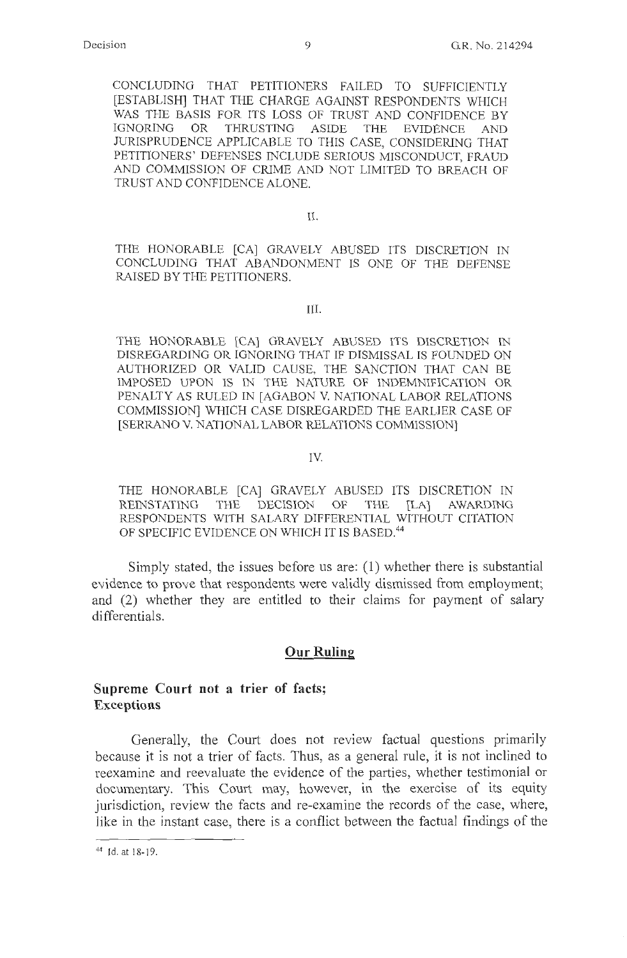CONCLUDING THAT PETITIONERS FAILED TO SUFFICIENTLY [ESTABLISH] THAT THE CHARGE AGAINST RESPONDENTS WHICH WAS THE BASIS FOR ITS LOSS OF TRUST AND CONFIDENCE BY IGNORING OR THRUSTING ASIDE THE EVIDENCE AND JURISPRUDENCE APPLICABLE TO THIS CASE, CONSIDERING THAT PETITIONERS' DEFENSES INCLUDE SERIOUS MISCONDUCT, FRAUD AND COMMISSION OF CRIME AND NOT LIMITED TO BREACH OF TRUST AND CONFIDENCE ALONE.

II.

THE HONORABLE [CA] GRAVELY ABUSED ITS DISCRETION IN CONCLUDING THAT ABANDONMENT IS ONE OF THE DEFENSE RAISED BY THE PETITIONERS.

III.

THE HONORABLE [CA] GRAVELY ABUSED ITS DISCRETION IN DISREGARDING OR IGNORING THAT IF DISMISSAL IS FOUNDED ON AUTHORIZED OR VALID CAUSE, THE SANCTION THAT CAN BE IMPOSED UPON IS IN THE NATURE OF INDEMNIFICATION OR PENALTY AS RULED IN [AGABON V. NATIONAL LABOR RELATIONS COMMISSION] WHICH CASE DISREGARDED THE EARLIER CASE OF [SERRANO V. NATIONAL LABOR RELATIONS COMMISSION]

#### IV.

THE HONORABLE [CA] GRAVELY ABUSED ITS DISCRETION IN REINSTATING THE DECISION OF THE [LA] AWARDING RESPONDENTS WITH SALARY DIFFERENTIAL WITHOUT CITATION OF SPECIFIC EVIDENCE ON WHICH IT IS BASED.<sup>44</sup>

Simply stated, the issues before us are: (1) whether there is substantial evidence to prove that respondents were validly dismissed from employment; and (2) whether they are entitled to their claims for payment of salary differentials.

### **Our Ruling**

## **Supreme Court not a trier of facts; Exceptions**

Generally, the Court does not review factual questions primarily because it is not a trier of facts. Thus, as a general rule, it is not inclined to reexamine and reevaluate the evidence of the parties, whether testimonial or documentary. This Court may, however, in the exercise of its equity jurisdiction, review the facts and re-examine the records of the case, where, like in the instant case, there is a conflict between the factual findings of the

<sup>44</sup> Id. at 18-19.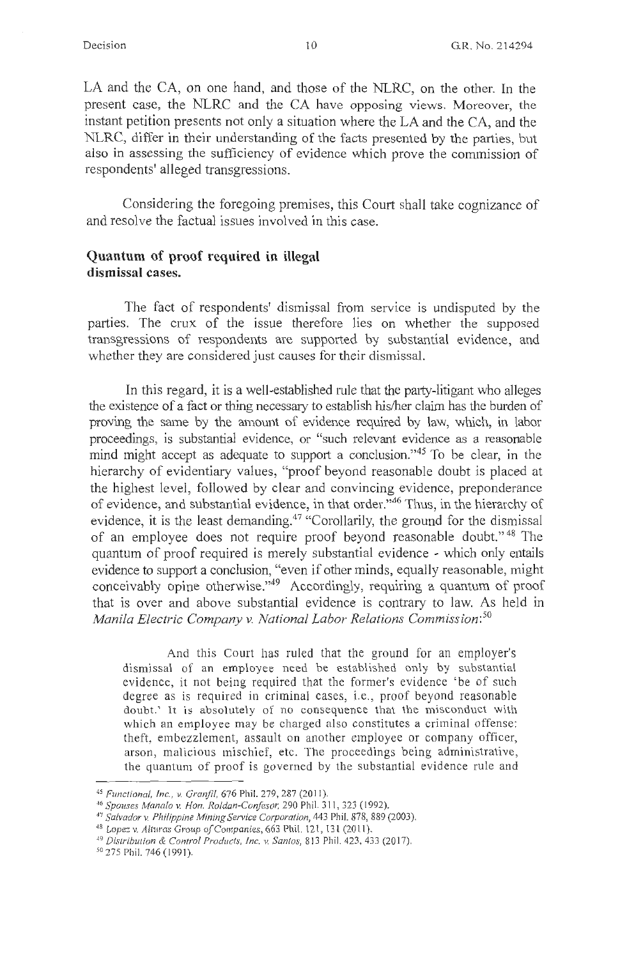LA and the CA, on one hand, and those of the NLRC, on the other. In the present case, the NLRC and the CA have opposing views. Moreover, the instant petition presents not only a situation where the LA and the CA, and the NLRC, differ in their understanding of the facts presented by the parties, but also in assessing the sufficiency of evidence which prove the commission of respondents' alleged transgressions.

Considering the foregoing premises, this Court shall take cognizance of and resolve the factual issues involved in this case.

# **Quantum of proof required in illegal dismissal cases.**

The fact of respondents' dismissal from service is undisputed by the parties. The crux of the issue therefore lies on whether the supposed transgressions of respondents are supported by substantial evidence, and whether they are considered just causes for their dismissal.

In this regard, it is a well-established rule that the party-litigant who alleges the existence of a fact or thing necessary to establish his/her claim has the burden of proving the same by the amount of evidence required by law, which, in labor proceedings, is substantial evidence, or "such relevant evidence as a reasonable mind might accept as adequate to support a conclusion."<sup>45</sup> To be clear, in the hierarchy of evidentiary values, "proof beyond reasonable doubt is placed at the highest level, followed by clear and convincing evidence, preponderance of evidence, and substantial evidence, in that order."46 Thus, in the hierarchy of evidence, it is the least demanding.<sup>47</sup> "Corollarily, the ground for the dismissal of an employee does not require proof beyond reasonable doubt." 48 The quantum of proof required is merely substantial evidence - which only entails evidence to support a conclusion, "even if other minds, equally reasonable, might conceivably opine otherwise."<sup>49</sup> Accordingly, requiring a quantum of proof that is over and above substantial evidence is contrary to law. As held in *Manila Electric Company v. National Labor Relations Commission: <sup>50</sup>*

And this Court has ruled that the ground for an employer's dismissal of an employee need be established only by substantial evidence, it not being required that the former's evidence 'be of such degree as is required in criminal cases, i.e., proof beyond reasonable doubt.' It is absolutely of no consequence that the misconduct with which an employee may be charged also constitutes a criminal offense: theft, embezzlement, assault on another employee or company officer, arson, malicious mischief, etc. The proceedings being administrative, the quantum of proof is governed by the substantial evidence rule and

<sup>45</sup>*Functional, Inc., v. Granjil,* 676 Phil. 279,287 (2011).

<sup>&</sup>lt;sup>47</sup> Salvador v. Philippine Mining Service Corporation, 443 Phil. 878, 889 (2003).

<sup>&</sup>lt;sup>48</sup> Lopez v. Alturas Group of Companies, 663 Phil. 121, 131 (2011).

<sup>&</sup>lt;sup>49</sup> Distribution & Control Products, Inc. v. Santos, 813 Phil. 423, 433 (2017).<br><sup>50</sup> 275 Phil. 746 (1991).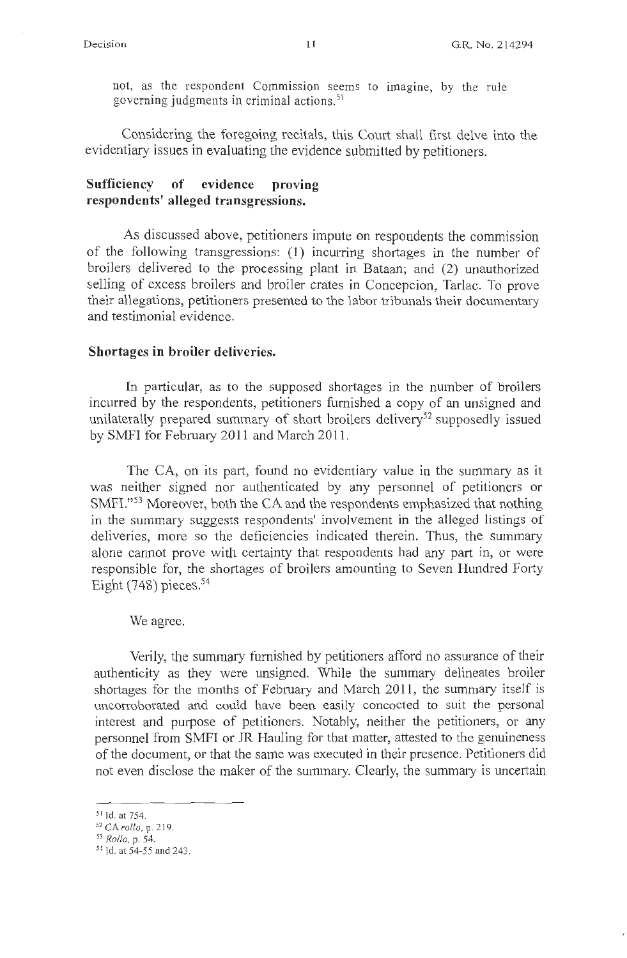not, as the respondent Commission seems to imagine, by the rule governing judgments in criminal actions. <sup>51</sup>

Considering the foregoing recitals, this Court shall first delve into the evidentiary issues in evaluating the evidence submitted by petitioners.

## **Sufficiency of evidence proving respondents' alleged transgressions.**

As discussed above, petitioners impute on respondents the commission of the following transgressions: (1) incurring shortages in the number of broilers delivered to the processing plant in Bataan; and (2) unauthorized selling of excess broilers and broiler crates in Concepcion, Tarlac. To prove their allegations, petitioners presented to the labor tribunals their documentary and testimonial evidence.

### **Shortages in broiler deliveries.**

In particular, as to the supposed shortages in the number of broilers incurred by the respondents, petitioners furnished a copy of an unsigned and unilaterally prepared summary of short broilers delivery<sup>52</sup> supposedly issued by SMFI for February 2011 and March 2011.

The CA, on its part, found no evidentiary value in the summary as it was neither signed nor authenticated by any personnel of petitioners or SMFI."<sup>53</sup> Moreover, both the CA and the respondents emphasized that nothing in the summary suggests respondents' involvement in the alleged listings of deliveries, more so the deficiencies indicated therein. Thus, the summary alone cannot prove with certainty that respondents had any part in, or were responsible for, the shortages of broilers amounting to Seven Hundred Forty Eight  $(748)$  pieces.<sup>54</sup>

We agree.

Verily, the summary furnished by petitioners afford no assurance of their authenticity as they were unsigned. While the summary delineates broiler shortages for the months of February and March 2011, the summary itself is uncorroborated and could have been easily concocted to suit the personal interest and purpose of petitioners. Notably, neither the petitioners, or any personnel from SMFI or JR Hauling for that matter, attested to the genuineness of the document, or that the same was executed in their presence. Petitioners did not even disclose the maker of the summary. Clearly, the summary is uncertain

<sup>5</sup> <sup>1</sup>Id. at 754. 52 CA *rollo,* p. <sup>2</sup> 19.

<sup>53</sup>*Rollo,* p. 54.

<sup>54</sup> Id. at 54-55 and 243.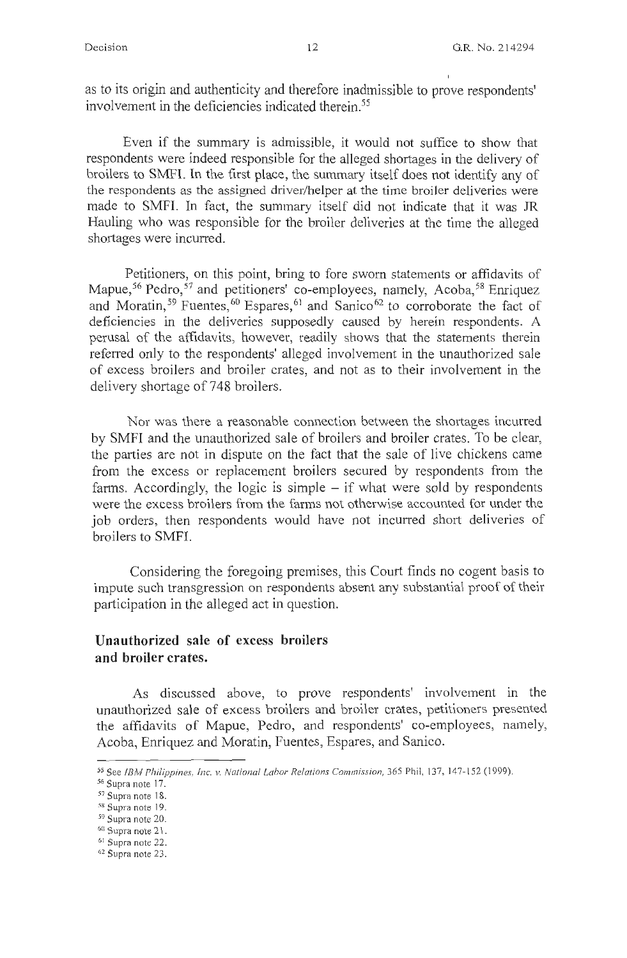as to its origin and authenticity and therefore inadmissible to prove respondents' involvement in the deficiencies indicated therein.<sup>55</sup>

Even if the summary is admissible, it would not suffice to show that respondents were indeed responsible for the alleged shortages in the delivery of broilers to SMFI. In the first place, the summary itself does not identify any of the respondents as the assigned driver/helper at the time broiler deliveries were made to SMFI. In fact, the summary itself did not indicate that it was JR Hauling who was responsible for the broiler deliveries at the time the alleged shortages were incurred.

Petitioners, on this point, bring to fore sworn statements or affidavits of Mapue,<sup>56</sup> Pedro,<sup>57</sup> and petitioners' co-employees, namely, Acoba,<sup>58</sup> Enriquez and Moratin,<sup>59</sup> Fuentes,<sup>60</sup> Espares,<sup>61</sup> and Sanico<sup>62</sup> to corroborate the fact of deficiencies in the deliveries supposedly caused by herein respondents. A perusal of the affidavits, however, readily shows that the statements therein refened only to the respondents' alleged involvement in the unauthorized sale of excess broilers and broiler crates, and not as to their involvement in the delivery shortage of 748 broilers.

Nor was there a reasonable connection between the shortages incurred by SMFI and the unauthorized sale of broilers and broiler crates. To be clear, the parties are not in dispute on the fact that the sale of live chickens came from the excess or replacement broilers secured by respondents from the farms. Accordingly, the logic is simple  $-$  if what were sold by respondents were the excess broilers from the farms not otherwise accounted for under the job orders, then respondents would have not incurred short deliveries of broilers to SMFI.

Considering the foregoing premises, this Court finds no cogent basis to impute such transgression on respondents absent any substantial proof of their participation in the alleged act in question.

# **Unauthorized sale of excess broilers and broiler crates.**

As discussed above, to prove respondents' involvement in the unauthorized sale of excess broilers and broiler crates, petitioners presented the affidavits of Mapue, Pedro, and respondents' co-employees, namely, Acoba, Enriquez and Moratin, Fuentes, Espares, and Sanico.

<sup>&</sup>lt;sup>55</sup> See *IBM Philippines, Inc. v. National Labor Relations Commission*, 365 Phil, 137, 147-152 (1999).<br><sup>56</sup> Supra note 17.

 $58$  Supra note 18.<br> $58$  Supra note 19.

 $59$  Supra note 20.<br> $60$  Supra note 21.<br> $61$  Supra note 22.

<sup>62</sup> Supra note 23.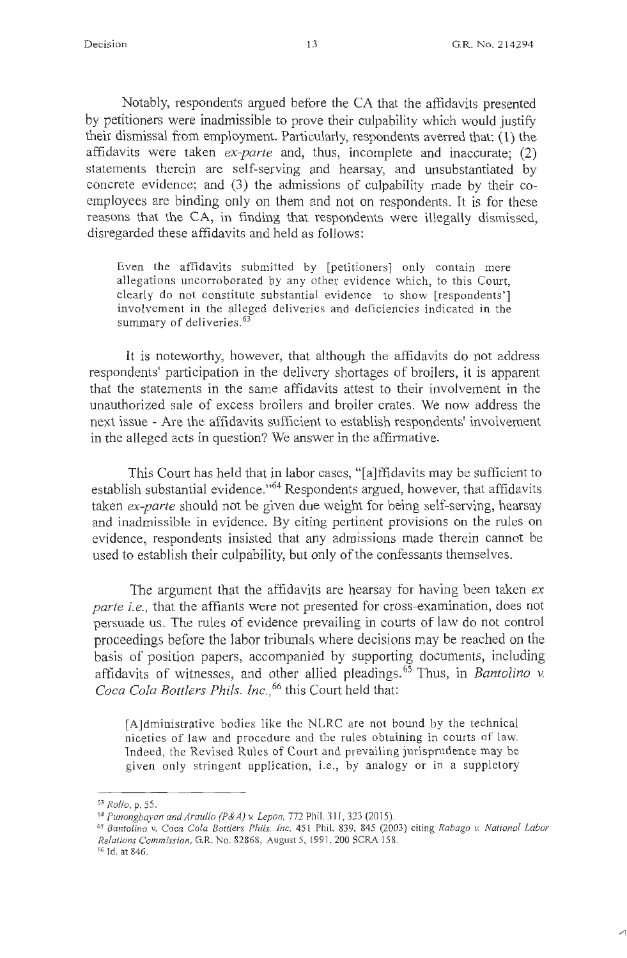Notably, respondents argued before the CA that the affidavits presented by petitioners were inadmissible to prove their culpability which would justify their dismissal from employment. Particularly, respondents averred that: ( 1) the affidavits were taken *ex-parte* and, thus, incomplete and inaccurate; (2) statements therein are self-serving and hearsay, and unsubstantiated by concrete evidence; and (3) the admissions of culpability made by their coemployees are binding only on them and not on respondents. It is for these reasons that the CA, in finding that respondents were illegally dismissed, disregarded these affidavits and held as follows:

Even the affidavits submitted by [petitioners] only contain mere allegations uncorroborated by any other evidence which, to this Court, clearly do not constitute substantial evidence to show [respondents'] involvement in the alleged deliveries and deficiencies indicated in the summary of deliveries.<sup>63</sup>

It is noteworthy, however, that although the affidavits do not address respondents' participation in the delivery shortages of broilers, it is apparent that the statements in the same affidavits attest to their involvement in the unauthorized sale of excess broilers and broiler crates. We now address the next issue - Are the affidavits sufficient to establish respondents' involvement in the alleged acts in question? We answer in the affirmative.

This Court has held that in labor cases, "[a]ffidavits may be sufficient to establish substantial evidence."<sup>64</sup> Respondents argued, however, that affidavits taken *ex-parte* should not be given due weight for being self-serving, hearsay and inadmissible in evidence. By citing pertinent provisions on the rules on evidence, respondents insisted that any admissions made therein cannot be used to establish their culpability, but only of the confessants themselves.

The argument that the affidavits are hearsay for having been taken ex *parte i.e.,* that the affiants were not presented for cross-examination, does not persuade us. The rules of evidence prevailing in courts of law do not control proceedings before the labor tribunals where decisions may be reached on the basis of position papers, accompanied by supporting documents, including affidavits of witnesses, and other allied pleadings. 65 Thus, in *Bantolino v.*  Coca Cola Bottlers Phils. Inc.,<sup>66</sup> this Court held that:

[A]dministrative bodies like the NLRC are not bound by the technical niceties of law and procedure and the rules obtaining in courts of law. Indeed, the Revised Rules of Court and prevailing jurisprudence may be given only stringent application, i.e., by analogy or in a suppletory

<sup>63</sup>*Rollo,* p. 55.

<sup>64</sup>*Punongbayan and Araullo (P&A) v. Lepon,* 772 Phil. 3 11, 323 (2015). 65 *Bantolino* v. *Coca Cola Bottlers Phils. Inc.* <sup>45</sup> 1 Phil. 839, 845 (2003) citing *Rabago v. National labor Relations Commission,* GR. No. 82868, August 5, 1991 , 200 SCRA 158. 66 Id. at 846.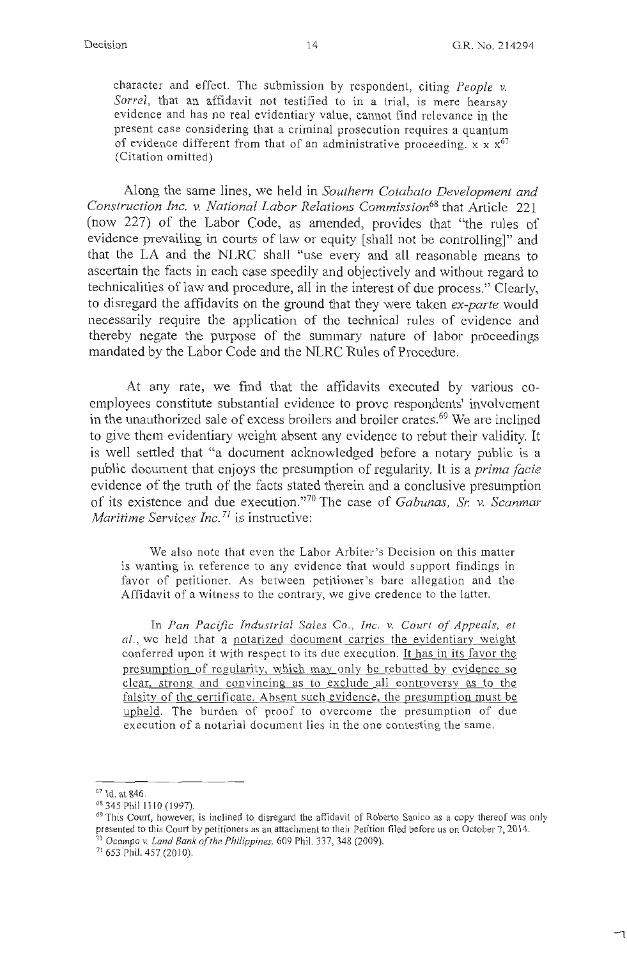character and effect. The submission by respondent, citing *People v. Sorrel,* that an affidavit not testified to in a trial, is mere hearsay evidence and has no real evidentiary value, cannot find relevance in the present case considering that a criminal prosecution requires a quantum of evidence different from that of an administrative proceeding.  $x \times x^{67}$ (Citation omitted)

Along the same lines, we held in *Southern Cotabato Development and Construction Inc. v. National Labor Relations Commission68* that Article 221 (now 227) of the Labor Code, as amended, provides that "the rules of evidence prevailing in courts of law or equity [shall not be controlling]" and that the LA and the NLRC shall "use every and all reasonable means to ascertain the facts in each case speedily and objectively and without regard to technicalities of law and procedure, all in the interest of due process." Clearly, to disregard the affidavits on the ground that they were taken *ex-parte* would necessarily require the application of the technical rules of evidence and thereby negate the purpose of the summary nature of labor proceedings mandated by the Labor Code and the NLRC Rules of Procedure.

At any rate, we find that the affidavits executed by various coemployees constitute substantial evidence to prove respondents' involvement in the unauthorized sale of excess broilers and broiler crates. 69 We are inclined to give them evidentiary weight absent any evidence to rebut their validity. It is well settled that "a document acknowledged before a notary public is a public document that enjoys the presumption of regularity. It is a *prima facie*  evidence of the truth of the facts stated therein and a conclusive presumption of its existence and due execution."<sup>70</sup> The case of *Gabunas*, *Sr. v. Scanmar Maritime Services Inc.<sup>71</sup>* is instructive:

We also note that even the Labor Arbiter's Decision on this matter is wanting in reference to any evidence that would support findings in favor of petitioner. As between petitioner's bare allegation and the Affidavit of a witness to the contrary, we give credence to the latter.

In *Pan Pacific Industrial Sales Co., Inc. v. Court of Appeals, et al.,* we held that a notarized document carries the evidentiary weight conferred upon it with respect to its due execution. It has in its favor the presumption of regularity, which may only be rebutted by evidence so clear, strong and convincing as to exclude all controversy as to the falsity of the certificate. Absent such evidence, the presumption must be upheld. The burden of proof to overcome the presumption of due execution of a notarial document lies in the one contesting the same.

 $67$  Id. at 846.<br> $68$  345 Phil 1110 (1997).

<sup>&</sup>lt;sup>69</sup> This Court, however, is inclined to disregard the affidavit of Roberto Sanico as a copy thereof was only presented to this Court by petitioners as an attachment to their Petition filed before us on October 7, 2014. <sup>70</sup>*Ocampo v. land Bank of the Philippines,* 609 Phil. 337, 348 (2009).

<sup>&</sup>lt;sup>71</sup> 653 Phil. 457 (2010).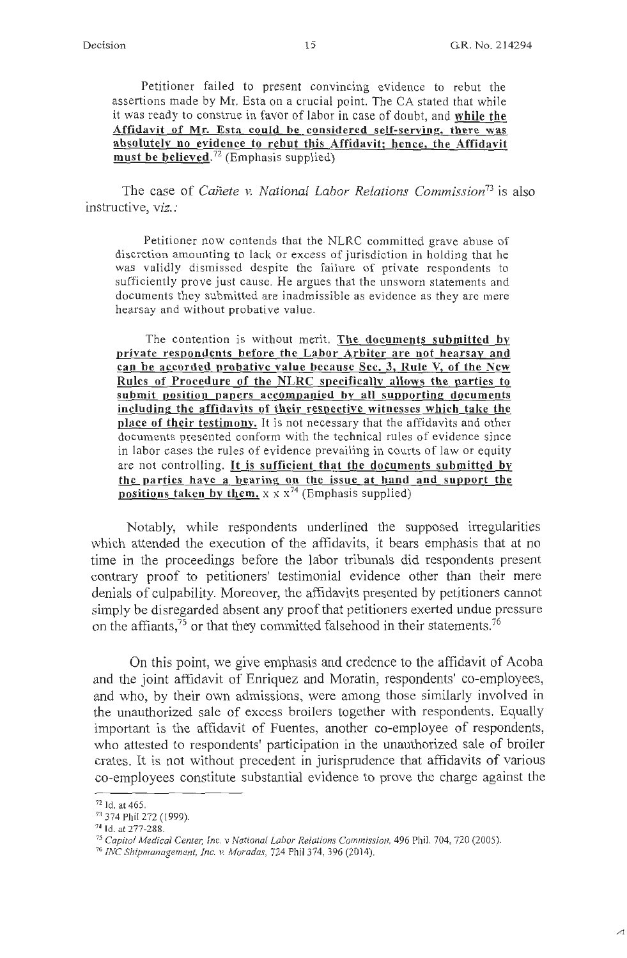Petitioner failed to present convincing evidence to rebut the assertions made by Mr. Esta on a crucial point. The CA stated that while it was ready to construe in favor of labor in case of doubt, and **while the Affidavit of Mr. Esta could be considered self-serving, there was absolutely no evidence to rebut this Affidavit; hence, the Affidavit must be believed.<sup>72</sup>**(Emphasis supplied)

The case of *Canete v. National Labor Relations Commission73* is also instructive, *viz.:* 

Petitioner now contends that the NLRC committed grave abuse of discretion amounting to lack or excess of jurisdiction in holding that he was validly dismissed despite the failure of private respondents to sufficiently prove just cause. He argues that the unsworn statements and documents they submitted are inadmissible as evidence as they are mere hearsay and without probative value.

The contention is without merit. **The documents submitted by private respondents before the Labor Arbiter are not hearsay and can be accorded probative value because Sec. 3, Rule V, of the New Rules of Procedure of the NLRC specifically allows the parties to submit position papers accompanied by all supporting documents including the affidavits of their respective witnesses which take the place of their testimony.** It is not necessary that the affidavits and other documents presented conform with the technical rules of evidence since in labor cases the rules of evidence prevailing in courts of law or equity are not controlling. It **is sufficient that the documents submitted by the parties have a bearing on the issue at hand and support the positions taken by them.**  $x \times x^{74}$  (Emphasis supplied)

Notably, while respondents underlined the supposed irregularities which attended the execution of the affidavits, it bears emphasis that at no time in the proceedings before the labor tribunals did respondents present contrary proof to petitioners' testimonial evidence other than their mere denials of culpability. Moreover, the affidavits presented by petitioners cannot simply be disregarded absent any proof that petitioners exerted undue pressure on the affiants, $^{75}$  or that they committed falsehood in their statements.<sup>76</sup>

On this point, we give emphasis and credence to the affidavit of Acoba and the joint affidavit of Enriquez and Moratin, respondents' co-employees, and who, by their own admissions, were among those similarly involved in the unauthorized sale of excess broilers together with respondents. Equally important is the affidavit of Fuentes, another co-employee of respondents, who attested to respondents' participation in the unauthorized sale of broiler crates. It is not without precedent in jurisprudence that affidavits of various co-employees constitute substantial evidence to prove the charge against the

<sup>72</sup> Id. at 465. 73 374 Phil 272 (1999). 74 Id. at 277-288.

*<sup>75</sup> Capitol Medical Cente1; Inc.* v *National labor Relations Commission,* 496 Phil. 704, 720 (2005).

<sup>76</sup>*INC Shipmanagement, Inc.* v. *Moradas,* 724 Phil 374,396 (2014).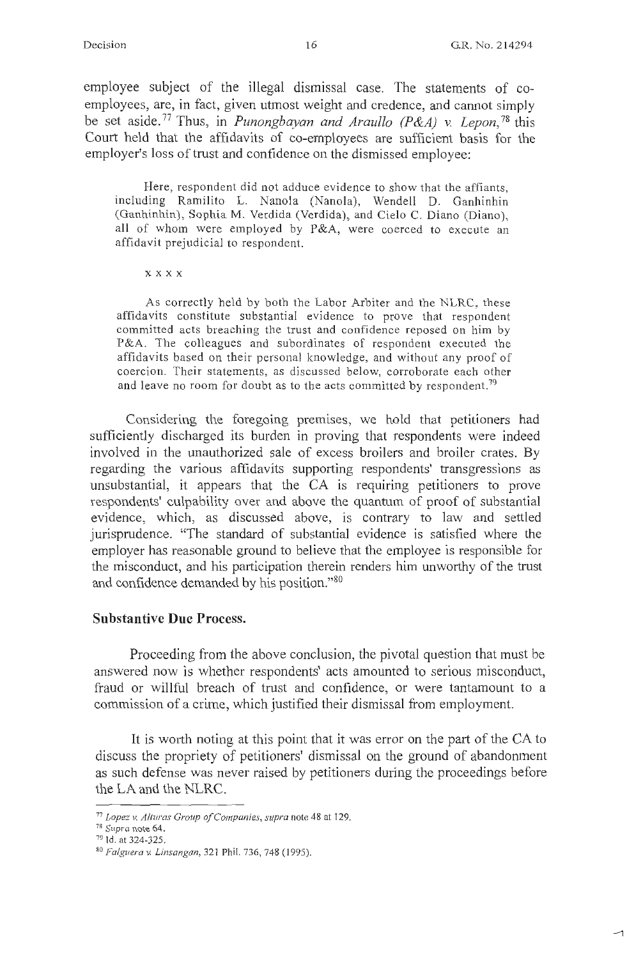$\sim$ 

employee subject of the illegal dismissal case. The statements of coemployees, are, in fact, given utmost weight and credence, and cannot simply be set aside. 77 Thus, in *Punongbayan and Araullo (P&A) v. Lepon,* 78 this Court held that the affidavits of co-employees are sufficient basis for the employer's loss of trust and confidence on the dismissed employee:

Here, respondent did not adduce evidence to show that the affiants, including Ramilito L. Nanola (Nanola), Wendell D. Ganhinhin (Ganhinhin), Sophia M. Verdida (Verdida), and Cielo C. Diano (Diano), all of whom were employed by P&A, were coerced to execute an affidavit prejudicial to respondent.

**xxxx** 

As correctly held by both the Labor Arbiter and the NLRC, these affidavits constitute substantial evidence to prove that respondent committed acts breaching the trust and confidence reposed on him by P&A. The colleagues and subordinates of respondent executed the affidavits based on their personal knowledge, and without any proof of coercion. Their statements, as discussed below, corroborate each other and leave no room for doubt as to the acts committed by respondent.<sup>79</sup>

Considering the foregoing premises, we hold that petitioners had sufficiently discharged its burden in proving that respondents were indeed involved in the unauthorized sale of excess broilers and broiler crates. By regarding the various affidavits supporting respondents' transgressions as unsubstantial, it appears that the CA is requiring petitioners to prove respondents' culpability over and above the quantum of proof of substantial evidence, which, as discussed above, is contrary to law and settled jurisprudence. "The standard of substantial evidence is satisfied where the employer has reasonable ground to believe that the employee is responsible for the misconduct, and his participation therein renders him unworthy of the trust and confidence demanded by his position."<sup>80</sup>

## **Substantive Due Process.**

Proceeding from the above conclusion, the pivotal question that must be answered now is whether respondents' acts amounted to serious misconduct, fraud or willful breach of trust and confidence, or were tantamount to a commission of a crime, which justified their dismissal from employment.

It is worth noting at this point that it was error on the part of the CA to discuss the propriety of petitioners' dismissal on the ground of abandonment as such defense was never raised by petitioners during the proceedings before the LA and the NLRC.

<sup>77</sup>*Lopez v. Alturas Group of Companies, supra* note 48 at 129. 78 *Supra* note 64.

<sup>79</sup> Id. at 324-325.

<sup>8</sup> ° *Falguerav. Linsangan,* <sup>32</sup> 1 Phil. 736, 748 ( 1995).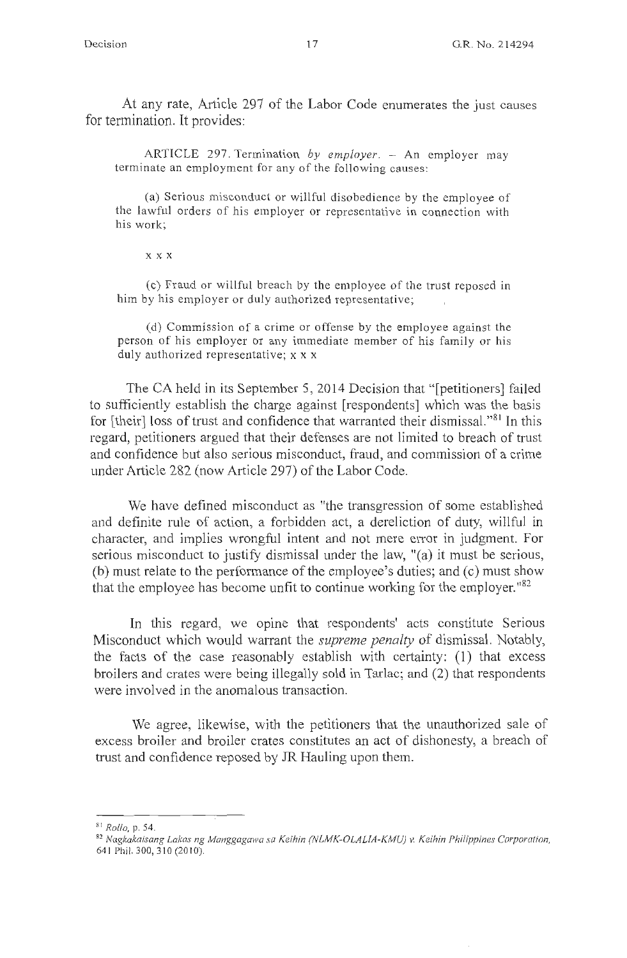At any rate, Article 297 of the Labor Code enumerates the just causes for termination. It provides:

ARTICLE 297. Termination *by employer.* - An employer may terminate an employment for any of the following causes:

(a) Serious misconduct or willful disobedience by the employee of the lawful orders of his employer or representative in connection with his work;

#### **XXX**

(c) Fraud or willful breach by the employee of the trust reposed in him by his employer or duly authorized representative;

(d) Commission of a crime or offense by the employee against the person of his employer or any immediate member of his family or his duly authorized representative; x x x

The CA held in its September 5, 2014 Decision that "[petitioners] failed to sufficiently establish the charge against [respondents] which was the basis for [their] loss of trust and confidence that warranted their dismissal."<sup>81</sup> In this regard, petitioners argued that their defenses are not limited to breach of trust and confidence but also serious misconduct, fraud, and commission of a crime under Article 282 (now Article 297) of the Labor Code.

We have defined misconduct as "the transgression of some established and definite rule of action, a forbidden act, a dereliction of duty, willful in character, and implies wrongful intent and not mere error in judgment. For serious misconduct to justify dismissal under the law, "(a) it must be serious, (b) must relate to the performance of the employee's duties; and (c) must show that the employee has become unfit to continue working for the employer.<sup>182</sup>

In this regard, we opine that respondents' acts constitute Serious Misconduct which would warrant the *supreme penalty* of dismissal. Notably, the facts of the case reasonably establish with certainty: (1) that excess broilers and crates were being illegally sold in Tarlac; and (2) that respondents were involved in the anomalous transaction.

We agree, likewise, with the petitioners that the unauthorized sale of excess broiler and broiler crates constitutes an act of dishonesty, a breach of trust and confidence reposed by JR Hauling upon them.

<sup>&</sup>lt;sup>81</sup> Rollo, p. 54.<br><sup>82</sup> Nagkakaisang Lakas ng Manggagawa sa Keihin (NLMK-OLALIA-KMU) v. Keihin Philippines Corporation, 641 Phil. 300, 310 (2010).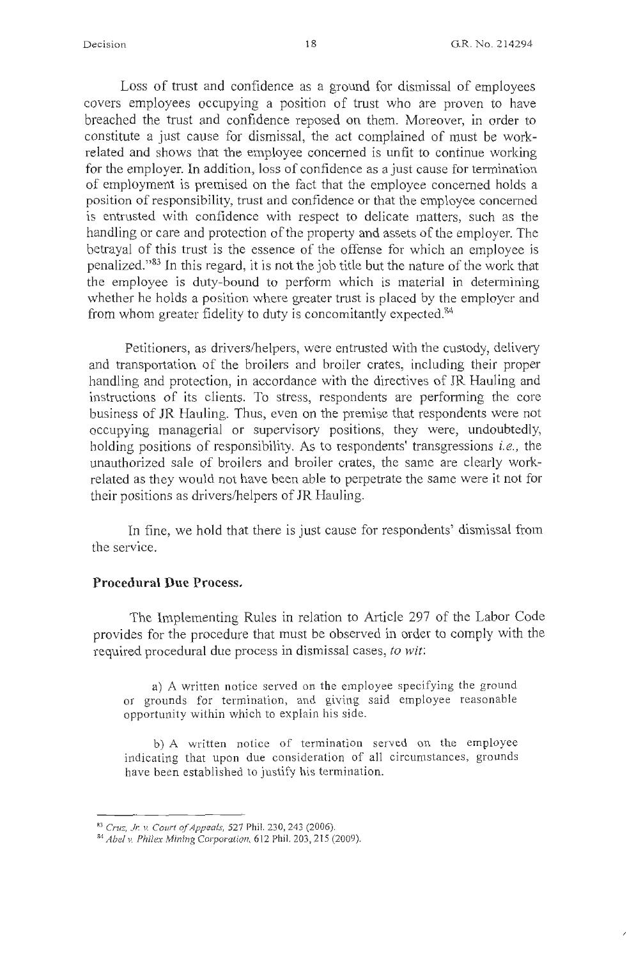Loss of trust and confidence as a ground for dismissal of employees covers employees occupying a position of trust who are proven to have breached the trust and confidence reposed on them. Moreover, in order to constitute a just cause for dismissal, the act complained of must be workrelated and shows that the employee concerned is unfit to continue working for the employer. In addition, loss of confidence as a just cause for termination of employment is premised on the fact that the employee concerned holds a position of responsibility, trust and confidence or that the employee concerned is entrusted with confidence with respect to delicate matters, such as the handling or care and protection of the property and assets of the employer. The betrayal of this trust is the essence of the offense for which an employee is penalized."<sup>83</sup> In this regard, it is not the job title but the nature of the work that the employee is duty-bound to perform which is material in determining whether he holds a position where greater trust is placed by the employer and from whom greater fidelity to duty is concomitantly expected.<sup>84</sup>

Petitioners, as drivers/helpers, were entrusted with the custody, delivery and transportation of the broilers and broiler crates, including their proper handling and protection, in accordance with the directives of JR Hauling and instructions of its clients. To stress, respondents are performing the core business of JR Hauling. Thus, even on the premise that respondents were not occupying managerial or supervisory positions, they were, undoubtedly, holding positions of responsibility. As to respondents' transgressions *i.e.*, the unauthorized sale of broilers and broiler crates, the same are clearly work. related as they would not have been able to perpetrate the same were it not for their positions as drivers/helpers of JR Hauling.

In fine, we hold that there is just cause for respondents' dismissal from the service.

### **Procedural Due Process.**

The Implementing Rules in relation to Article 297 of the Labor Code provides for the procedure that must be observed in order to comply with the required procedural due process in dismissal cases, *to wit:* 

a) A written notice served on the employee specifying the ground or grounds for termination, and giving said employee reasonable opportunity within which to explain his side .

b) A written notice of termination served on the employee indicating that upon due consideration of all circumstances, grounds have been established to justify his termination.

<sup>83</sup> *Cruz, Jr. v. Court of Appeals, 527 Phil. 230, 243 (2006).* 

<sup>84</sup>*Abel v. Phi/ex Mining Corporation,* 6 12 Phil. 203,215 (2009).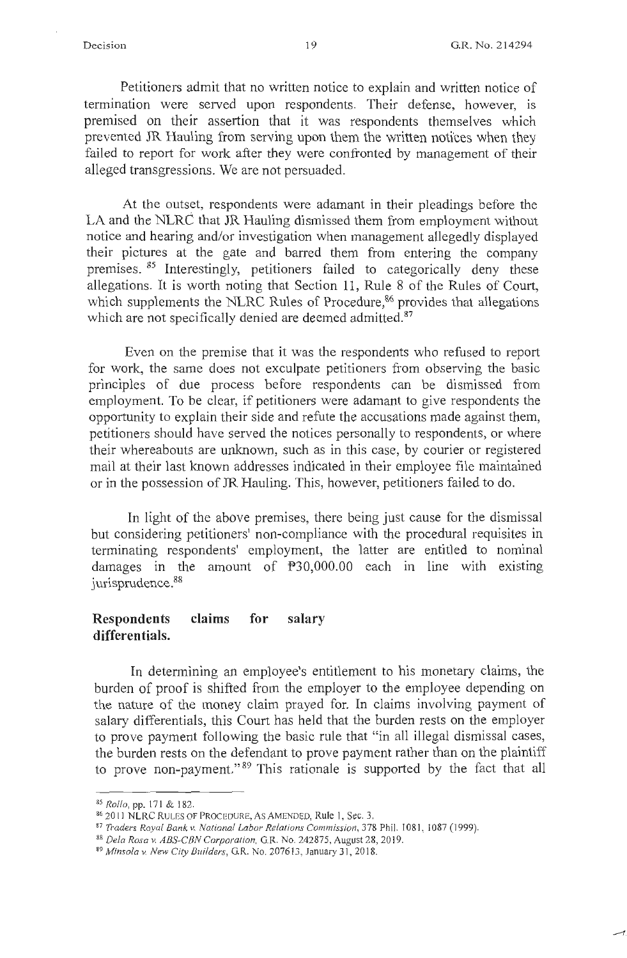$-$ r.

Petitioners admit that no written notice to explain and written notice of termination were served upon respondents. Their defense, however, is premised on their assertion that it was respondents themselves which prevented JR Hauling from serving upon them the written notices when they failed to report for work after they were confronted by management of their alleged transgressions. We are not persuaded.

At the outset, respondents were adamant in their pleadings before the LA and the NLRC that JR Hauling dismissed them from employment without notice and hearing and/or investigation when management allegedly displayed their pictures at the gate and barred them from entering the company premises. 85 Interestingly, petitioners failed to categorically deny these allegations. It is worth noting that Section 11 , Rule 8 of the Rules of Court, which supplements the NLRC Rules of Procedure,<sup>86</sup> provides that allegations which are not specifically denied are deemed admitted.<sup>87</sup>

Even on the premise that it was the respondents who refused to report for work, the same does not exculpate petitioners from observing the basic principles of due process before respondents can be dismissed from employment. To be clear, if petitioners were adamant to give respondents the opportunity to explain their side and refute the accusations made against them, petitioners should have served the notices personally to respondents, or where their whereabouts are unknown, such as in this case, by courier or registered mail at their last known addresses indicated in their employee file maintained or in the possession of JR Hauling. This, however, petitioners failed to do.

In light of the above premises, there being just cause for the dismissal but considering petitioners' non-compliance with the procedural requisites in terminating respondents' employment, the latter are entitled to nominal damages in the amount of P30,000.00 each in line with existing jurisprudence.<sup>88</sup>

## **Respondents claims for salary differentials.**

In detennining an employee's entitlement to his monetary claims, the burden of proof is shifted from the employer to the employee depending on the nature of the money claim prayed for. In claims involving payment of salary differentials, this Court has held that the burden rests on the employer to prove payment following the basic rule that "in all illegal dismissal cases, the burden rests on the defendant to prove payment rather than on the plaintiff to prove non-payment." 89 This rationale is supported by the fact that all

<sup>&</sup>lt;sup>85</sup> Rollo, pp. 171 & 182.<br><sup>86</sup> 2011 NLRC RULES OF PROCEDURE, AS AMENDED, Rule 1, Sec. 3.<br><sup>87</sup> *Traders Royal Bank v. National Labor Relations Commission*, 378 Phil. 1081, 1087 (1999).

<sup>&</sup>lt;sup>88</sup> Dela Rosa v. ABS-CBN Corporation, G.R. No. 242875, August 28, 2019.<br><sup>89</sup> *Minsola v. New City Builders*, G.R. No. 207613, January 31, 2018.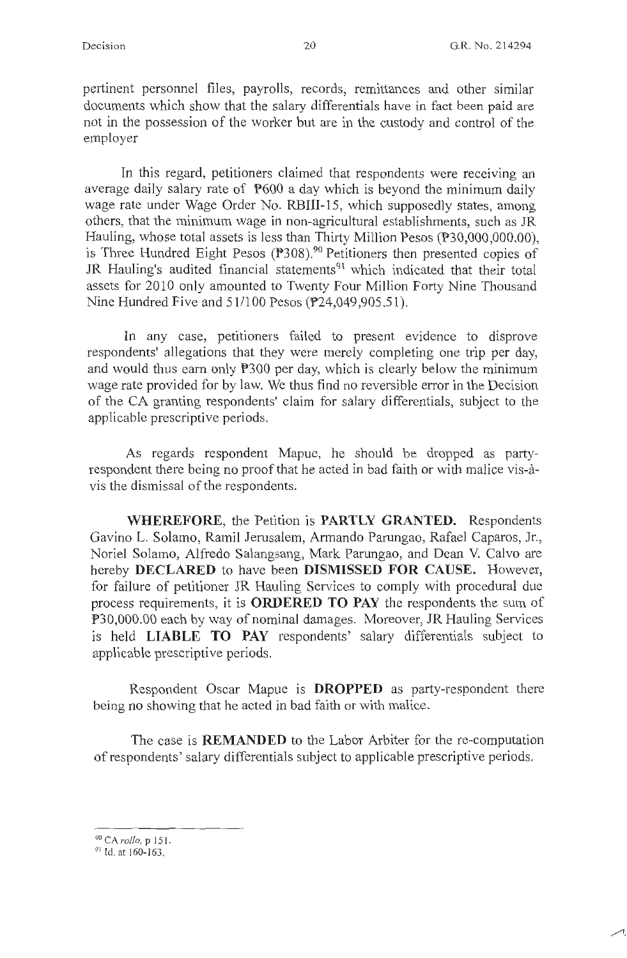pertinent personnel files, payrolls, records, remittances and other similar documents which show that the salary differentials have in fact been paid are not in the possession of the worker but are in the custody and control of the employer

In this regard, petitioners claimed that respondents were receiving an average daily salary rate of P600 a day which is beyond the minimum daily wage rate under Wage Order No. RBIII-15, which supposedly states, among others, that the minimum wage in non-agricultural establishments, such as JR Hauling, whose total assets is less than Thirty Million Pesos (P30,000,000.00), is Three Hundred Eight Pesos (P308). 90 Petitioners then presented copies of JR Hauling's audited financial statements<sup>91</sup> which indicated that their total assets for 2010 only amounted to Twenty Four Million Forty Nine Thousand Nine Hundred Five and 51/100 Pesos (P24,049,905.5 l).

In any case, petitioners failed to present evidence to disprove respondents' allegations that they were merely completing one trip per day, and would thus earn only P300 per day, which is clearly below the minimum wage rate provided for by law. We thus find no reversible error in the Decision of the CA granting respondents' claim for salary differentials, subject to the applicable prescriptive periods.

As regards respondent Mapue, he should be dropped as partyrespondent there being no proof that he acted in bad faith or with malice vis-avis the dismissal of the respondents.

**WHEREFORE,** the Petition is **PARTLY GRANTED.** Respondents Gavino L. Solamo, Ramil Jerusalem, Armando Parungao, Rafael Caparos, Jr., Noriel Solamo, Alfredo Salangsang, Mark Parungao, and Dean V. Calvo are hereby **DECLARED** to have been **DISMISSED FOR CAUSE.** However, for failure of petitioner JR Hauling Services to comply with procedural due process requirements, it is **ORDERED TO PAY** the respondents the sum of P30,000.00 each by way of nominal damages. Moreover, JR Hauling Services is held **LIABLE TO PAY** respondents' salary differentials subject to applicable prescriptive periods.

Respondent Oscar Mapue is **DROPPED** as party-respondent there being no showing that he acted in bad faith or with malice.

The case is **REMANDED** to the Labor Arbiter for the re-computation of respondents' salary differentials subject to applicable prescriptive periods.

<sup>&</sup>lt;sup>90</sup> CA *rollo*, p 151.

<sup>&</sup>lt;sup>91</sup> Id. at 160-163.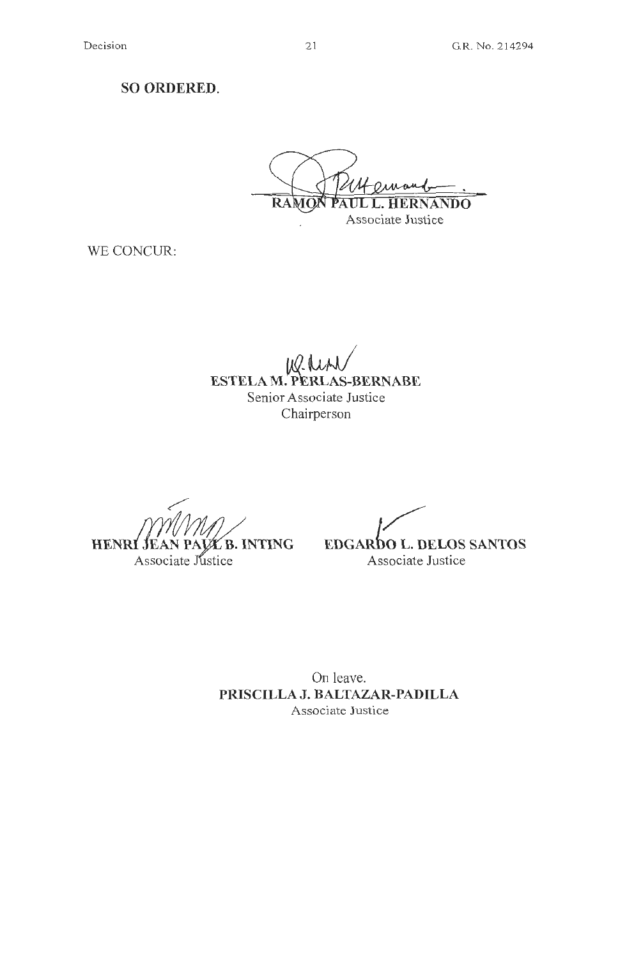**SO ORDERED.** 

**RAMO** VANDO Associate Justice

WE CONCUR:

**ESTELA M. PERLAS-BERNABE** Senior Associate Justice Chairperson

**HENRI JE B. INTING** 

Associate Justice

**EDGARDO L. DELOS SANTOS** Associate Justice

On leave. **PRISCILLA J. BALTAZAR-PADILLA**  Associate Justice